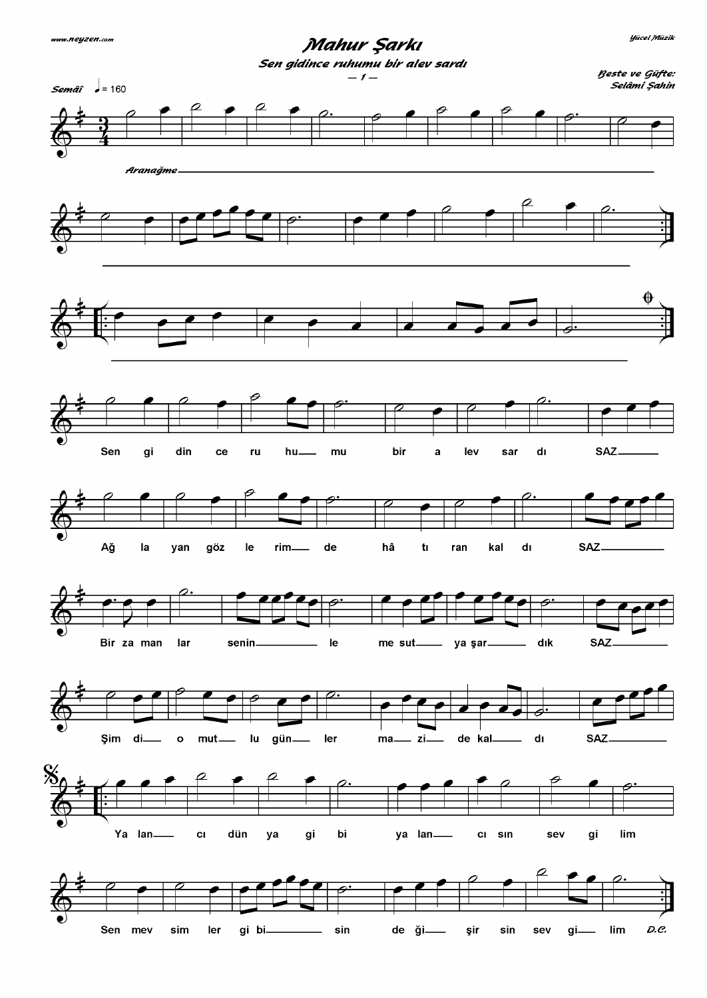Mahur Şarkı

**Yücel Müzik**